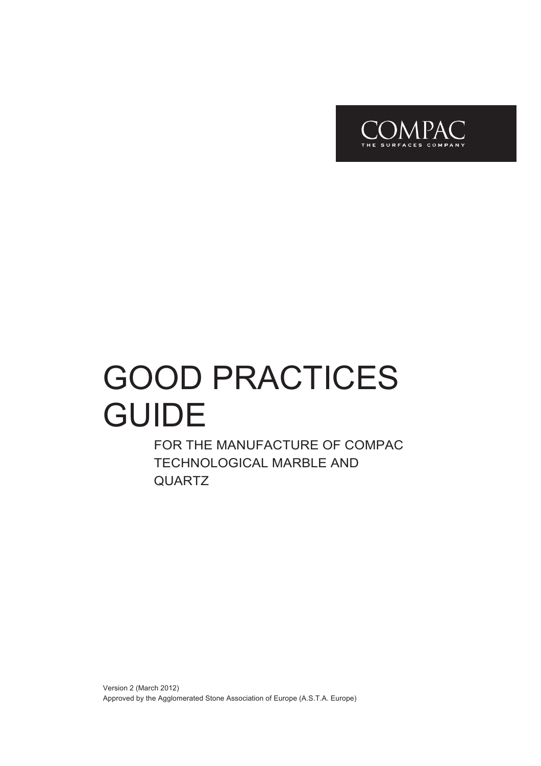

# GOOD PRACTICES GUIDE

FOR THE MANUFACTURE OF COMPAC TECHNOLOGICAL MARBLE AND QUARTZ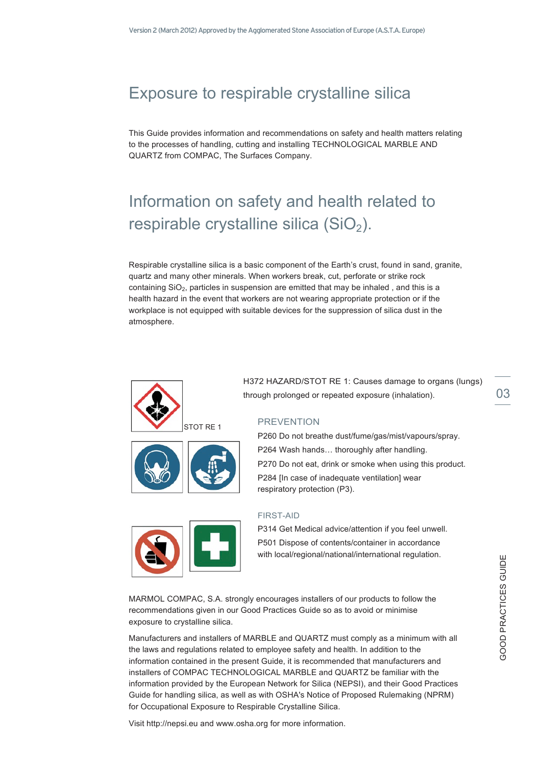# Exposure to respirable crystalline silica

This Guide provides information and recommendations on safety and health matters relating to the processes of handling, cutting and installing TECHNOLOGICAL MARBLE AND QUARTZ from COMPAC, The Surfaces Company.

# Information on safety and health related to respirable crystalline silica  $(SiO<sub>2</sub>)$ .

Respirable crystalline silica is a basic component of the Earth's crust, found in sand, granite, quartz and many other minerals. When workers break, cut, perforate or strike rock containing SiO2, particles in suspension are emitted that may be inhaled , and this is a health hazard in the event that workers are not wearing appropriate protection or if the workplace is not equipped with suitable devices for the suppression of silica dust in the atmosphere.





H372 HAZARD/STOT RE 1: Causes damage to organs (lungs) through prolonged or repeated exposure (inhalation).  $03$ 

#### **PREVENTION**

P260 Do not breathe dust/fume/gas/mist/vapours/spray. P264 Wash hands… thoroughly after handling. P270 Do not eat, drink or smoke when using this product. P284 [In case of inadequate ventilation] wear respiratory protection (P3).



#### FIRST-AID

P314 Get Medical advice/attention if you feel unwell. P501 Dispose of contents/container in accordance with local/regional/national/international regulation.

MARMOL COMPAC, S.A. strongly encourages installers of our products to follow the recommendations given in our Good Practices Guide so as to avoid or minimise exposure to crystalline silica.

Manufacturers and installers of MARBLE and QUARTZ must comply as a minimum with all the laws and regulations related to employee safety and health. In addition to the information contained in the present Guide, it is recommended that manufacturers and installers of COMPAC TECHNOLOGICAL MARBLE and QUARTZ be familiar with the information provided by the European Network for Silica (NEPSI), and their Good Practices Guide for handling silica, as well as with OSHA's Notice of Proposed Rulemaking (NPRM) for Occupational Exposure to Respirable Crystalline Silica.

Visit http://nepsi.eu and www.osha.org for more information.

GOOD PRACTICES GUIDE

**GOOD PRACTICES GUIDE**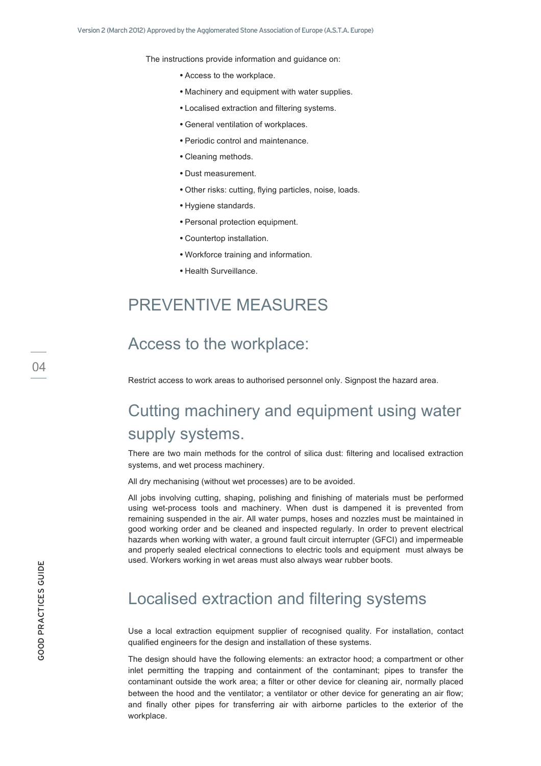The instructions provide information and guidance on:

- Access to the workplace.
- Machinery and equipment with water supplies.
- Localised extraction and filtering systems.
- General ventilation of workplaces.
- Periodic control and maintenance.
- Cleaning methods.
- Dust measurement.
- Other risks: cutting, flying particles, noise, loads.
- Hygiene standards.
- Personal protection equipment.
- Countertop installation.
- Workforce training and information.
- Health Surveillance.

## PREVENTIVE MEASURES

#### Access to the workplace:

Restrict access to work areas to authorised personnel only. Signpost the hazard area.

# Cutting machinery and equipment using water supply systems.

There are two main methods for the control of silica dust: filtering and localised extraction systems, and wet process machinery.

All dry mechanising (without wet processes) are to be avoided.

All jobs involving cutting, shaping, polishing and finishing of materials must be performed using wet-process tools and machinery. When dust is dampened it is prevented from remaining suspended in the air. All water pumps, hoses and nozzles must be maintained in good working order and be cleaned and inspected regularly. In order to prevent electrical hazards when working with water, a ground fault circuit interrupter (GFCI) and impermeable and properly sealed electrical connections to electric tools and equipment must always be used. Workers working in wet areas must also always wear rubber boots.

### Localised extraction and filtering systems

Use a local extraction equipment supplier of recognised quality. For installation, contact qualified engineers for the design and installation of these systems.

The design should have the following elements: an extractor hood; a compartment or other inlet permitting the trapping and containment of the contaminant; pipes to transfer the contaminant outside the work area; a filter or other device for cleaning air, normally placed between the hood and the ventilator; a ventilator or other device for generating an air flow; and finally other pipes for transferring air with airborne particles to the exterior of the workplace.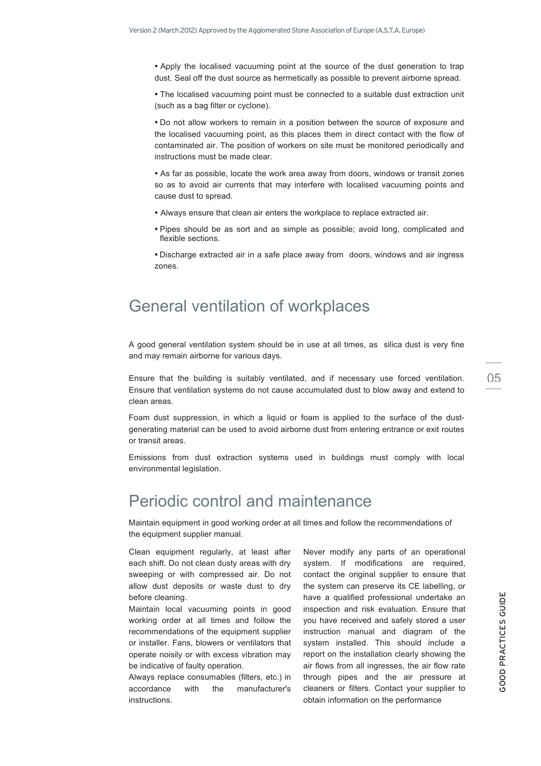• Apply the localised vacuuming point at the source of the dust generation to trap dust. Seal off the dust source as hermetically as possible to prevent airborne spread.

• The localised vacuuming point must be connected to a suitable dust extraction unit (such as a bag filter or cyclone).

• Do not allow workers to remain in a position between the source of exposure and the localised vacuuming point, as this places them in direct contact with the flow of contaminated air. The position of workers on site must be monitored periodically and instructions must be made clear.

• As far as possible, locate the work area away from doors, windows or transit zones so as to avoid air currents that may interfere with localised vacuuming points and cause dust to spread.

- Always ensure that clean air enters the workplace to replace extracted air.
- Pipes should be as sort and as simple as possible; avoid long, complicated and flexible sections.
- Discharge extracted air in a safe place away from doors, windows and air ingress zones.

#### General ventilation of workplaces

A good general ventilation system should be in use at all times, as silica dust is very fine and may remain airborne for various days.

Ensure that the building is suitably ventilated, and if necessary use forced ventilation. Ensure that ventilation systems do not cause accumulated dust to blow away and extend to clean areas.

Foam dust suppression, in which a liquid or foam is applied to the surface of the dustgenerating material can be used to avoid airborne dust from entering entrance or exit routes or transit areas.

Emissions from dust extraction systems used in buildings must comply with local environmental legislation.

#### Periodic control and maintenance

Maintain equipment in good working order at all times and follow the recommendations of the equipment supplier manual.

Clean equipment regularly, at least after each shift. Do not clean dusty areas with dry sweeping or with compressed air. Do not allow dust deposits or waste dust to dry before cleaning.

Maintain local vacuuming points in good working order at all times and follow the recommendations of the equipment supplier or installer. Fans, blowers or ventilators that operate noisily or with excess vibration may be indicative of faulty operation.

Always replace consumables (filters, etc.) in accordance with the manufacturer's instructions.

Never modify any parts of an operational system. If modifications are required, contact the original supplier to ensure that the system can preserve its CE labelling, or have a qualified professional undertake an inspection and risk evaluation. Ensure that you have received and safely stored a user instruction manual and diagram of the system installed. This should include a report on the installation clearly showing the air flows from all ingresses, the air flow rate through pipes and the air pressure at cleaners or filters. Contact your supplier to obtain information on the performance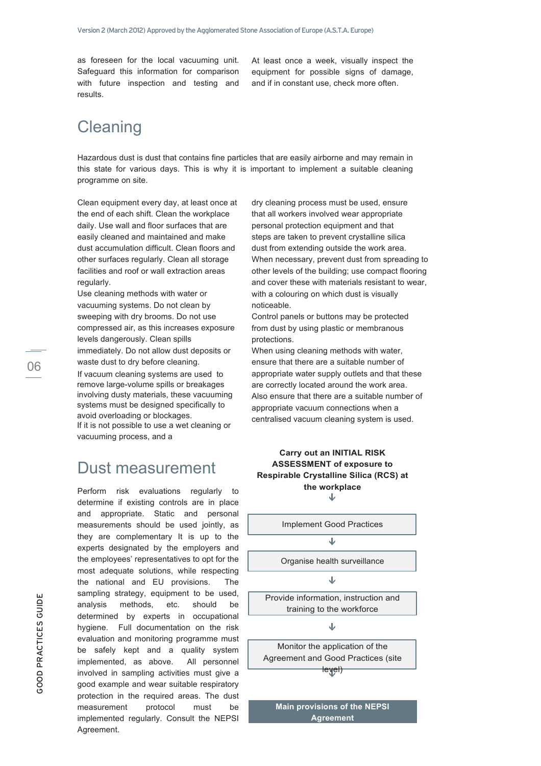as foreseen for the local vacuuming unit. Safeguard this information for comparison with future inspection and testing and results.

At least once a week, visually inspect the equipment for possible signs of damage, and if in constant use, check more often.

# **Cleaning**

Hazardous dust is dust that contains fine particles that are easily airborne and may remain in this state for various days. This is why it is important to implement a suitable cleaning programme on site.

Clean equipment every day, at least once at the end of each shift. Clean the workplace daily. Use wall and floor surfaces that are easily cleaned and maintained and make dust accumulation difficult. Clean floors and other surfaces regularly. Clean all storage facilities and roof or wall extraction areas regularly.

Use cleaning methods with water or vacuuming systems. Do not clean by sweeping with dry brooms. Do not use compressed air, as this increases exposure levels dangerously. Clean spills immediately. Do not allow dust deposits or waste dust to dry before cleaning.

If vacuum cleaning systems are used to remove large-volume spills or breakages involving dusty materials, these vacuuming systems must be designed specifically to avoid overloading or blockages. If it is not possible to use a wet cleaning or vacuuming process, and a

#### Dust measurement

Perform risk evaluations regularly to determine if existing controls are in place and appropriate. Static and personal measurements should be used jointly, as they are complementary It is up to the experts designated by the employers and the employees' representatives to opt for the most adequate solutions, while respecting the national and EU provisions. The sampling strategy, equipment to be used, analysis methods, etc. should be determined by experts in occupational hygiene. Full documentation on the risk evaluation and monitoring programme must be safely kept and a quality system implemented, as above. All personnel involved in sampling activities must give a good example and wear suitable respiratory protection in the required areas. The dust measurement protocol must be implemented regularly. Consult the NEPSI Agreement.

dry cleaning process must be used, ensure that all workers involved wear appropriate personal protection equipment and that steps are taken to prevent crystalline silica dust from extending outside the work area. When necessary, prevent dust from spreading to other levels of the building; use compact flooring and cover these with materials resistant to wear, with a colouring on which dust is visually noticeable.

Control panels or buttons may be protected from dust by using plastic or membranous protections.

When using cleaning methods with water, ensure that there are a suitable number of appropriate water supply outlets and that these are correctly located around the work area. Also ensure that there are a suitable number of appropriate vacuum connections when a centralised vacuum cleaning system is used.





**Main provisions of the NEPSI Agreement**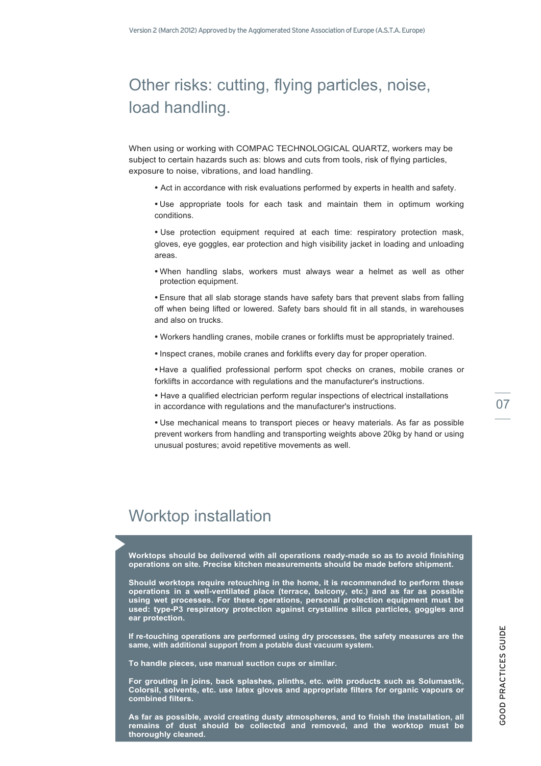# Other risks: cutting, flying particles, noise, load handling.

When using or working with COMPAC TECHNOLOGICAL QUARTZ, workers may be subject to certain hazards such as: blows and cuts from tools, risk of flying particles, exposure to noise, vibrations, and load handling.

- Act in accordance with risk evaluations performed by experts in health and safety.
- Use appropriate tools for each task and maintain them in optimum working conditions.

• Use protection equipment required at each time: respiratory protection mask, gloves, eye goggles, ear protection and high visibility jacket in loading and unloading areas.

• When handling slabs, workers must always wear a helmet as well as other protection equipment.

• Ensure that all slab storage stands have safety bars that prevent slabs from falling off when being lifted or lowered. Safety bars should fit in all stands, in warehouses and also on trucks.

- Workers handling cranes, mobile cranes or forklifts must be appropriately trained.
- Inspect cranes, mobile cranes and forklifts every day for proper operation.

• Have a qualified professional perform spot checks on cranes, mobile cranes or forklifts in accordance with regulations and the manufacturer's instructions.

• Have a qualified electrician perform regular inspections of electrical installations in accordance with regulations and the manufacturer's instructions. 07

• Use mechanical means to transport pieces or heavy materials. As far as possible prevent workers from handling and transporting weights above 20kg by hand or using unusual postures; avoid repetitive movements as well.

# Worktop installation

**Worktops should be delivered with all operations ready-made so as to avoid finishing operations on site. Precise kitchen measurements should be made before shipment.**

**Should worktops require retouching in the home, it is recommended to perform these operations in a well-ventilated place (terrace, balcony, etc.) and as far as possible using wet processes. For these operations, personal protection equipment must be used: type-P3 respiratory protection against crystalline silica particles, goggles and ear protection.**

**If re-touching operations are performed using dry processes, the safety measures are the same, with additional support from a potable dust vacuum system.**

**To handle pieces, use manual suction cups or similar.**

**For grouting in joins, back splashes, plinths, etc. with products such as Solumastik, Colorsil, solvents, etc. use latex gloves and appropriate filters for organic vapours or combined filters.** 

**As far as possible, avoid creating dusty atmospheres, and to finish the installation, all remains of dust should be collected and removed, and the worktop must be thoroughly cleaned.**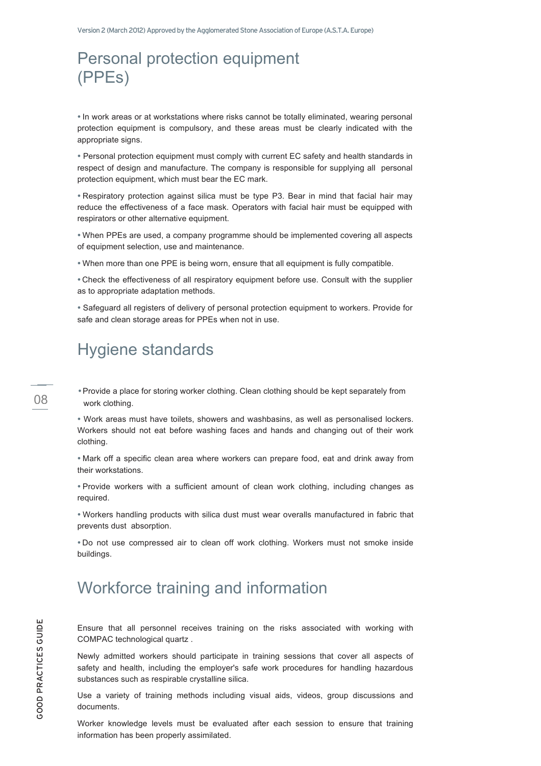# Personal protection equipment (PPEs)

• In work areas or at workstations where risks cannot be totally eliminated, wearing personal protection equipment is compulsory, and these areas must be clearly indicated with the appropriate signs.

• Personal protection equipment must comply with current EC safety and health standards in respect of design and manufacture. The company is responsible for supplying all personal protection equipment, which must bear the EC mark.

• Respiratory protection against silica must be type P3. Bear in mind that facial hair may reduce the effectiveness of a face mask. Operators with facial hair must be equipped with respirators or other alternative equipment.

• When PPEs are used, a company programme should be implemented covering all aspects of equipment selection, use and maintenance.

• When more than one PPE is being worn, ensure that all equipment is fully compatible.

• Check the effectiveness of all respiratory equipment before use. Consult with the supplier as to appropriate adaptation methods.

• Safeguard all registers of delivery of personal protection equipment to workers. Provide for safe and clean storage areas for PPEs when not in use.

### Hygiene standards

•Provide a place for storing worker clothing. Clean clothing should be kept separately from work clothing.

• Work areas must have toilets, showers and washbasins, as well as personalised lockers. Workers should not eat before washing faces and hands and changing out of their work clothing.

• Mark off a specific clean area where workers can prepare food, eat and drink away from their workstations.

• Provide workers with a sufficient amount of clean work clothing, including changes as required.

• Workers handling products with silica dust must wear overalls manufactured in fabric that prevents dust absorption.

• Do not use compressed air to clean off work clothing. Workers must not smoke inside buildings.

# Workforce training and information

Ensure that all personnel receives training on the risks associated with working with COMPAC technological quartz .

Newly admitted workers should participate in training sessions that cover all aspects of safety and health, including the employer's safe work procedures for handling hazardous substances such as respirable crystalline silica.

Use a variety of training methods including visual aids, videos, group discussions and documents.

Worker knowledge levels must be evaluated after each session to ensure that training information has been properly assimilated.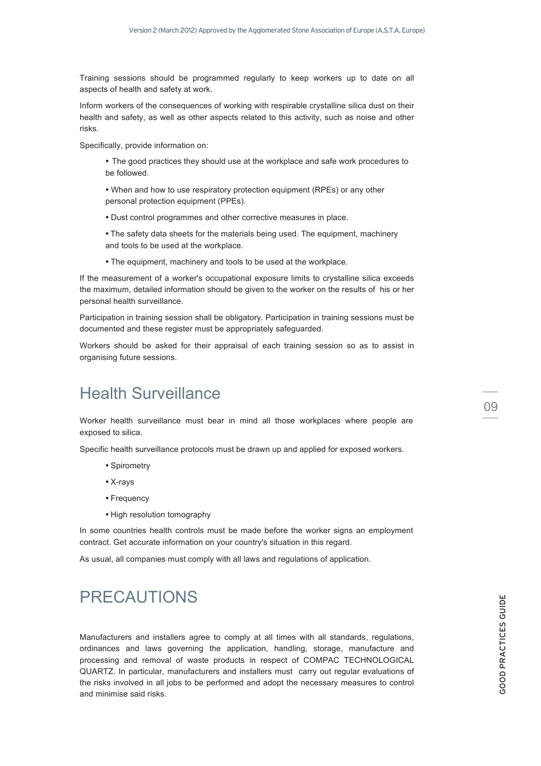Training sessions should be programmed regularly to keep workers up to date on all aspects of health and safety at work.

Inform workers of the consequences of working with respirable crystalline silica dust on their health and safety, as well as other aspects related to this activity, such as noise and other risks.

Specifically, provide information on:

- The good practices they should use at the workplace and safe work procedures to be followed.
- When and how to use respiratory protection equipment (RPEs) or any other personal protection equipment (PPEs).
- Dust control programmes and other corrective measures in place.
- The safety data sheets for the materials being used. The equipment, machinery and tools to be used at the workplace.
- The equipment, machinery and tools to be used at the workplace.

If the measurement of a worker's occupational exposure limits to crystalline silica exceeds the maximum, detailed information should be given to the worker on the results of his or her personal health surveillance.

Participation in training session shall be obligatory. Participation in training sessions must be documented and these register must be appropriately safeguarded.

Workers should be asked for their appraisal of each training session so as to assist in organising future sessions.

## Health Surveillance

Worker health surveillance must bear in mind all those workplaces where people are exposed to silica.

Specific health surveillance protocols must be drawn up and applied for exposed workers.

- Spirometry
- X-rays
- Frequency
- High resolution tomography

In some countries health controls must be made before the worker signs an employment contract. Get accurate information on your country's situation in this regard.

As usual, all companies must comply with all laws and regulations of application.

# PRECAUTIONS

Manufacturers and installers agree to comply at all times with all standards, regulations, ordinances and laws governing the application, handling, storage, manufacture and processing and removal of waste products in respect of COMPAC TECHNOLOGICAL QUARTZ. In particular, manufacturers and installers must carry out regular evaluations of the risks involved in all jobs to be performed and adopt the necessary measures to control and minimise said risks.